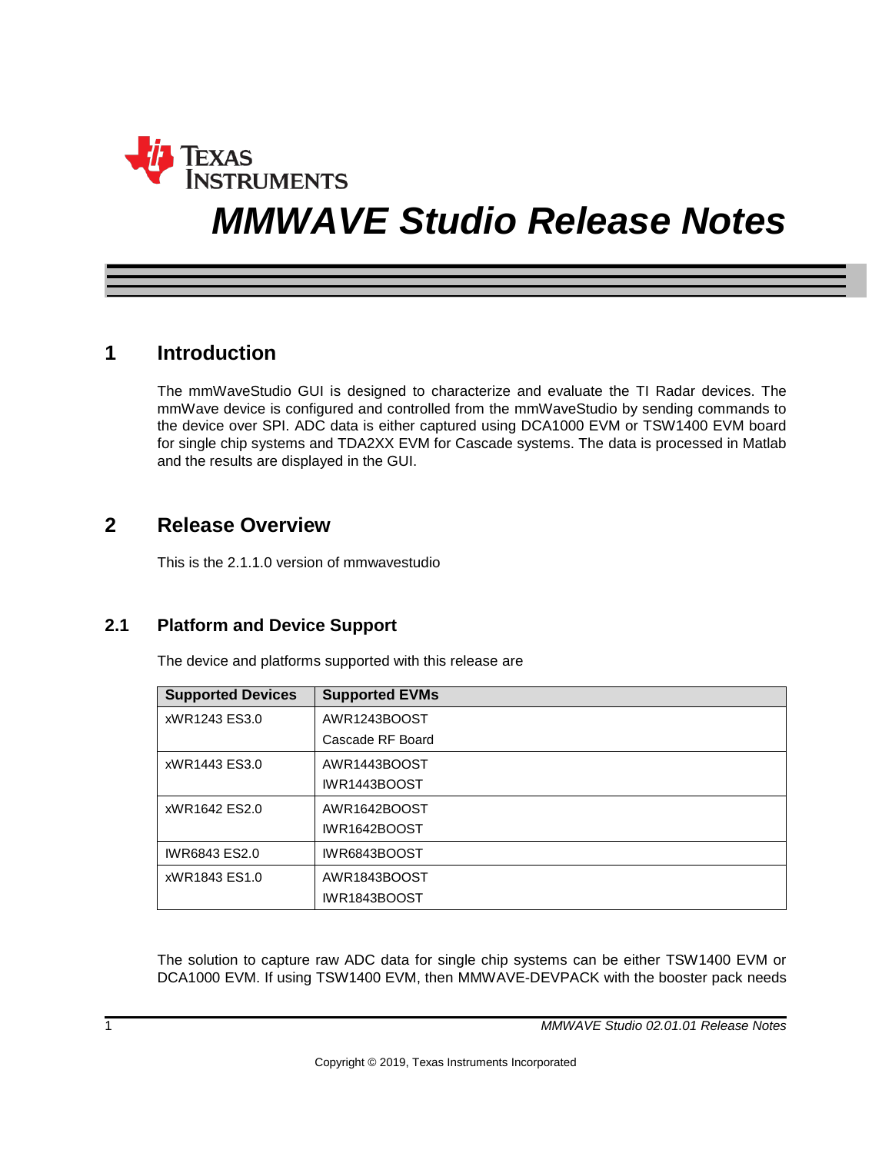

# *MMWAVE Studio Release Notes*

# **1 Introduction**

The mmWaveStudio GUI is designed to characterize and evaluate the TI Radar devices. The mmWave device is configured and controlled from the mmWaveStudio by sending commands to the device over SPI. ADC data is either captured using DCA1000 EVM or TSW1400 EVM board for single chip systems and TDA2XX EVM for Cascade systems. The data is processed in Matlab and the results are displayed in the GUI.

# **2 Release Overview**

This is the 2.1.1.0 version of mmwavestudio

## **2.1 Platform and Device Support**

The device and platforms supported with this release are

| <b>Supported Devices</b> | <b>Supported EVMs</b> |
|--------------------------|-----------------------|
| xWR1243 ES3.0            | AWR1243BOOST          |
|                          | Cascade RF Board      |
| xWR1443 ES3.0            | AWR1443BOOST          |
|                          | <b>IWR1443BOOST</b>   |
| xWR1642 ES2.0            | AWR1642BOOST          |
|                          | <b>IWR1642BOOST</b>   |
| IWR6843 ES2.0            | IWR6843BOOST          |
| xWR1843 ES1.0            | AWR1843BOOST          |
|                          | IWR1843BOOST          |

The solution to capture raw ADC data for single chip systems can be either TSW1400 EVM or DCA1000 EVM. If using TSW1400 EVM, then MMWAVE-DEVPACK with the booster pack needs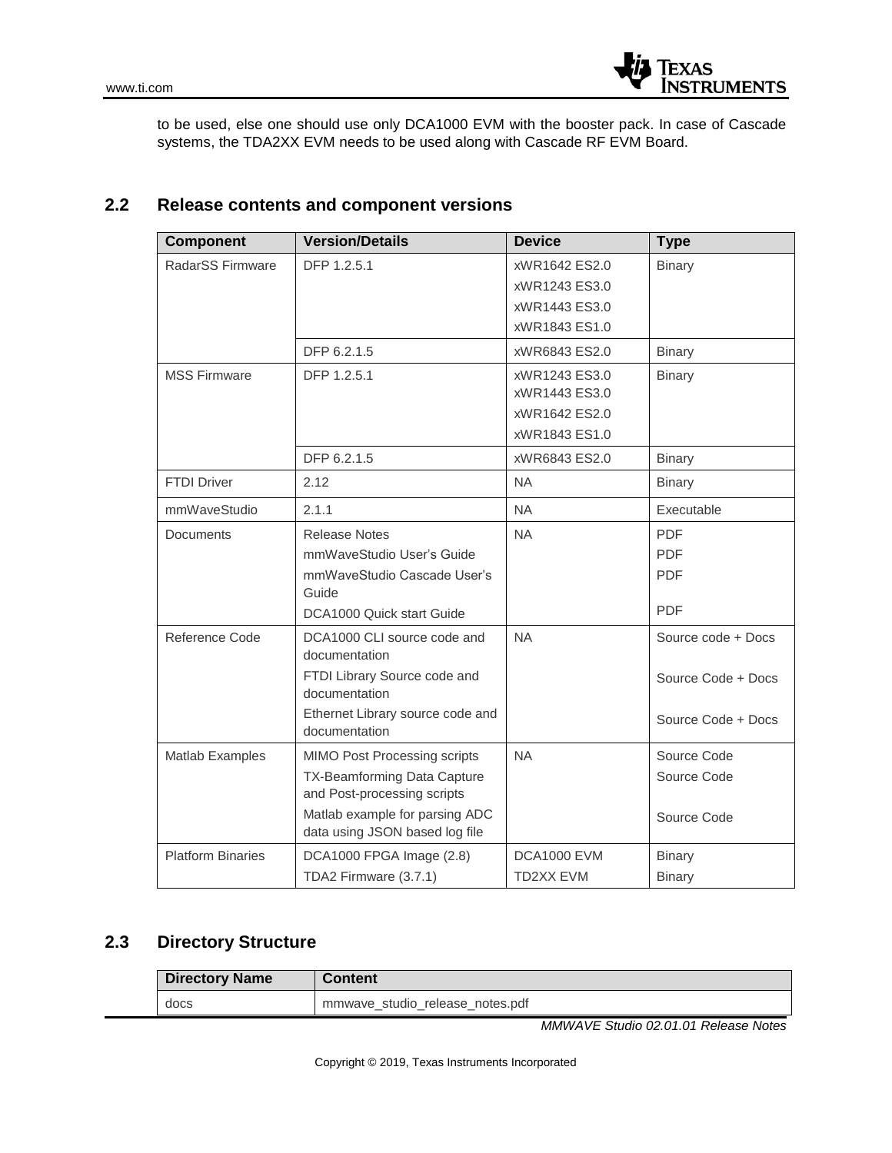

to be used, else one should use only DCA1000 EVM with the booster pack. In case of Cascade systems, the TDA2XX EVM needs to be used along with Cascade RF EVM Board.

#### **2.2 Release contents and component versions**

| <b>Component</b>         | <b>Version/Details</b>                                        | <b>Device</b>      | <b>Type</b>        |
|--------------------------|---------------------------------------------------------------|--------------------|--------------------|
| RadarSS Firmware         | DFP 1.2.5.1                                                   | xWR1642 ES2.0      | <b>Binary</b>      |
|                          |                                                               | xWR1243 ES3.0      |                    |
|                          |                                                               | xWR1443 ES3.0      |                    |
|                          |                                                               | xWR1843 ES1.0      |                    |
|                          | DFP 6.2.1.5                                                   | xWR6843 ES2.0      | <b>Binary</b>      |
| <b>MSS Firmware</b>      | DFP 1.2.5.1                                                   | xWR1243 ES3.0      | <b>Binary</b>      |
|                          |                                                               | xWR1443 ES3.0      |                    |
|                          |                                                               | xWR1642 ES2.0      |                    |
|                          |                                                               | xWR1843 ES1.0      |                    |
|                          | DFP 6.2.1.5                                                   | xWR6843 ES2.0      | <b>Binary</b>      |
| <b>FTDI Driver</b>       | 2.12                                                          | <b>NA</b>          | <b>Binary</b>      |
| mmWaveStudio             | 2.1.1                                                         | <b>NA</b>          | Executable         |
| <b>Documents</b>         | <b>Release Notes</b>                                          | <b>NA</b>          | <b>PDF</b>         |
|                          | mmWaveStudio User's Guide                                     |                    | <b>PDF</b>         |
|                          | mmWaveStudio Cascade User's                                   |                    | <b>PDF</b>         |
|                          | Guide                                                         |                    | <b>PDF</b>         |
|                          | DCA1000 Quick start Guide                                     |                    |                    |
| Reference Code           | DCA1000 CLI source code and<br>documentation                  | <b>NA</b>          | Source code + Docs |
|                          | FTDI Library Source code and<br>documentation                 |                    | Source Code + Docs |
|                          | Ethernet Library source code and<br>documentation             |                    | Source Code + Docs |
| Matlab Examples          | MIMO Post Processing scripts                                  | <b>NA</b>          | Source Code        |
|                          | TX-Beamforming Data Capture                                   |                    | Source Code        |
|                          | and Post-processing scripts<br>Matlab example for parsing ADC |                    |                    |
|                          | data using JSON based log file                                |                    | Source Code        |
| <b>Platform Binaries</b> | DCA1000 FPGA Image (2.8)                                      | <b>DCA1000 EVM</b> | <b>Binary</b>      |
|                          | TDA2 Firmware (3.7.1)                                         | TD2XX EVM          | <b>Binary</b>      |

## **2.3 Directory Structure**

| <b>Directory Name</b> | <b>Content</b>                  |
|-----------------------|---------------------------------|
| docs                  | mmwave studio release notes.pdf |

*MMWAVE Studio 02.01.01 Release Notes*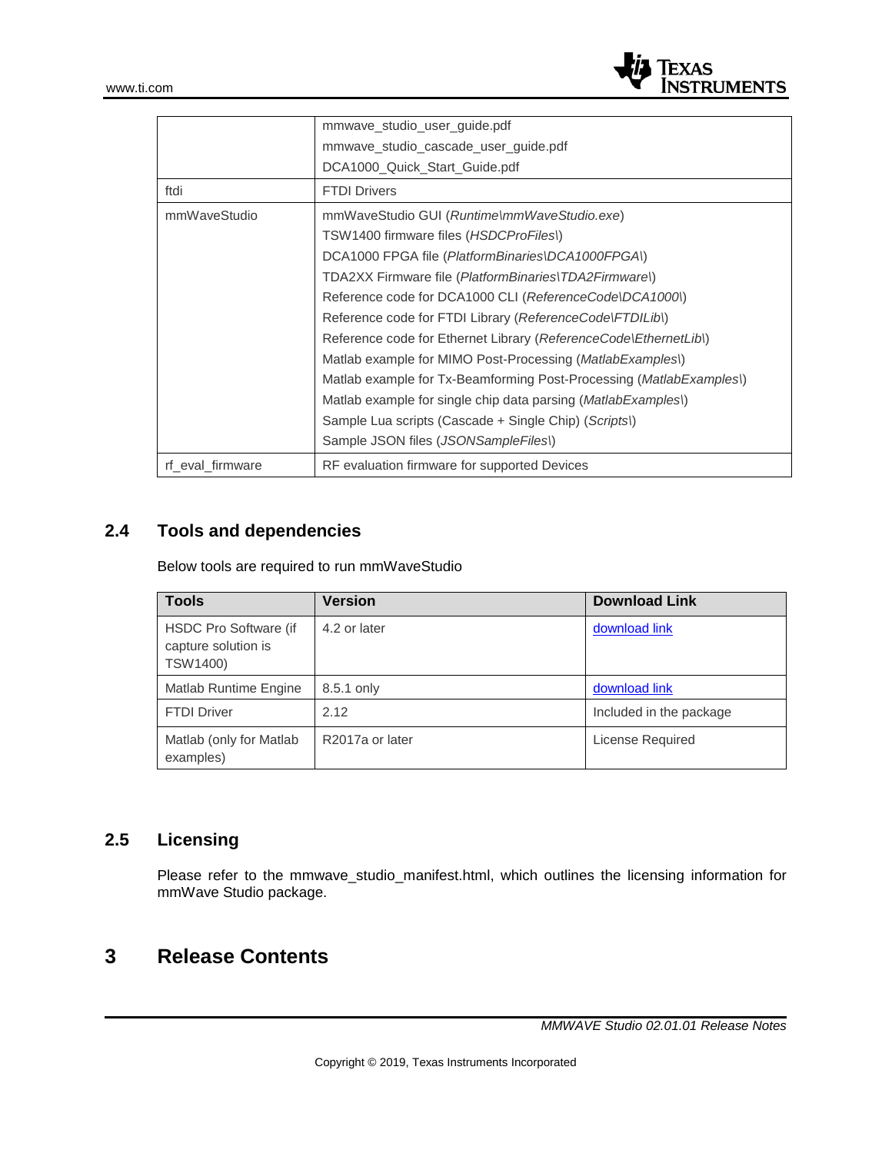

|                  | mmwave_studio_user_guide.pdf                                                 |
|------------------|------------------------------------------------------------------------------|
|                  | mmwave studio cascade user guide.pdf                                         |
|                  | DCA1000 Quick Start Guide.pdf                                                |
| ftdi             | <b>FTDI Drivers</b>                                                          |
| mmWaveStudio     | mmWaveStudio GUI (Runtime\mmWaveStudio.exe)                                  |
|                  | TSW1400 firmware files (HSDCProFiles))                                       |
|                  | DCA1000 FPGA file (PlatformBinaries\DCA1000FPGA\)                            |
|                  | TDA2XX Firmware file (PlatformBinaries\TDA2Firmware\)                        |
|                  | Reference code for DCA1000 CLI (ReferenceCode\DCA1000\)                      |
|                  | Reference code for FTDI Library (ReferenceCode\FTDILib\)                     |
|                  | Reference code for Ethernet Library (ReferenceCode\EthernetLib\)             |
|                  | Matlab example for MIMO Post-Processing ( <i>MatlabExamples</i> )            |
|                  | Matlab example for Tx-Beamforming Post-Processing ( <i>MatlabExamples</i> )) |
|                  | Matlab example for single chip data parsing ( <i>MatlabExamples</i> )        |
|                  | Sample Lua scripts (Cascade + Single Chip) (Scripts)                         |
|                  | Sample JSON files (JSONSampleFiles))                                         |
| rf eval firmware | RF evaluation firmware for supported Devices                                 |

# **2.4 Tools and dependencies**

Below tools are required to run mmWaveStudio

| <b>Tools</b>                                             | Version         | <b>Download Link</b>    |
|----------------------------------------------------------|-----------------|-------------------------|
| HSDC Pro Software (if<br>capture solution is<br>TSW1400) | 4.2 or later    | download link           |
| Matlab Runtime Engine                                    | 8.5.1 only      | download link           |
| <b>FTDI Driver</b>                                       | 2.12            | Included in the package |
| Matlab (only for Matlab<br>examples)                     | R2017a or later | License Required        |

## **2.5 Licensing**

Please refer to the mmwave\_studio\_manifest.html, which outlines the licensing information for mmWave Studio package.

# **3 Release Contents**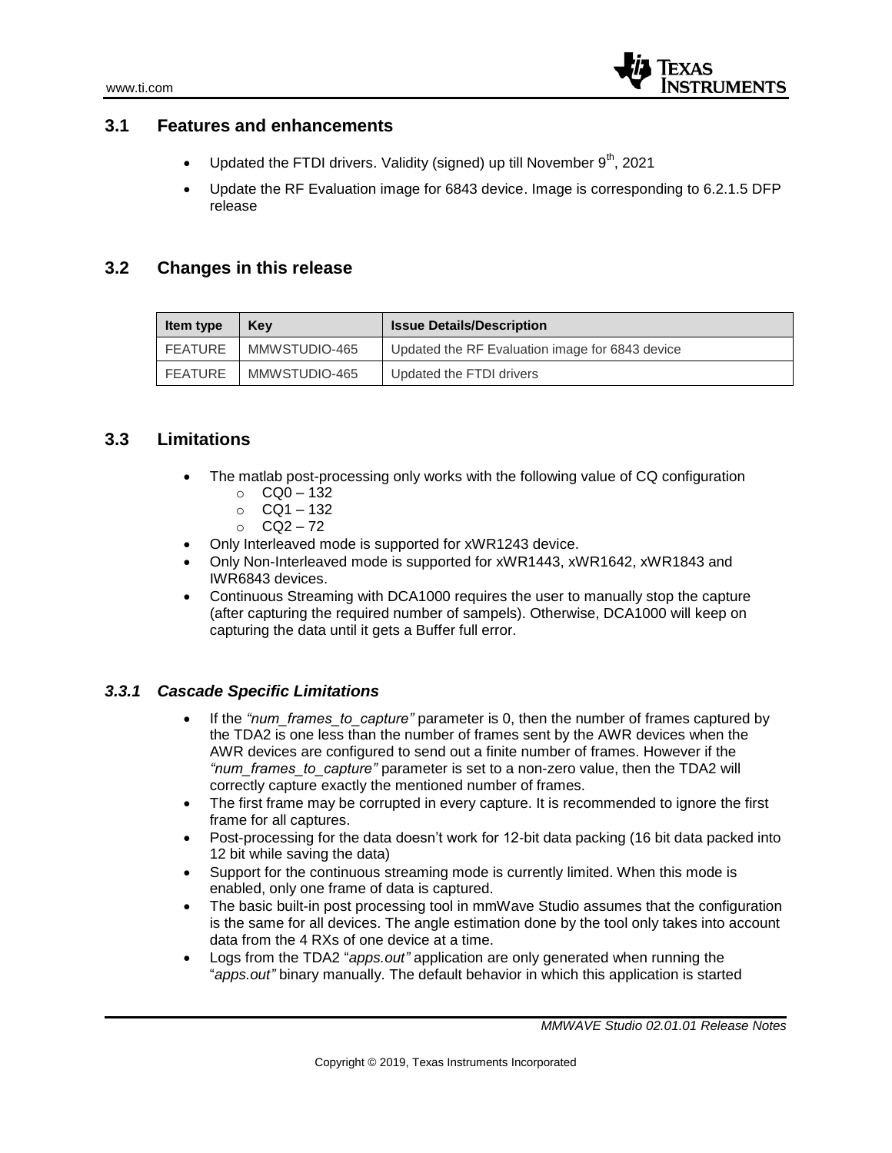

#### **3.1 Features and enhancements**

- Updated the FTDI drivers. Validity (signed) up till November  $9<sup>th</sup>$ , 2021
- Update the RF Evaluation image for 6843 device. Image is corresponding to 6.2.1.5 DFP release

#### **3.2 Changes in this release**

| ltem type | Kev           | <b>Issue Details/Description</b>                |
|-----------|---------------|-------------------------------------------------|
| FEATURE   | MMWSTUDIO-465 | Updated the RF Evaluation image for 6843 device |
| FEATURE   | MMWSTUDIO-465 | Updated the FTDI drivers                        |

#### **3.3 Limitations**

- The matlab post-processing only works with the following value of CQ configuration
	- $O$  CQ0 132
	- o CQ1 132
	- $O$  CQ2 72
- Only Interleaved mode is supported for xWR1243 device.
- Only Non-Interleaved mode is supported for xWR1443, xWR1642, xWR1843 and IWR6843 devices.
- Continuous Streaming with DCA1000 requires the user to manually stop the capture (after capturing the required number of sampels). Otherwise, DCA1000 will keep on capturing the data until it gets a Buffer full error.

#### *3.3.1 Cascade Specific Limitations*

- If the *"num\_frames\_to\_capture"* parameter is 0, then the number of frames captured by the TDA2 is one less than the number of frames sent by the AWR devices when the AWR devices are configured to send out a finite number of frames. However if the *"num\_frames\_to\_capture"* parameter is set to a non-zero value, then the TDA2 will correctly capture exactly the mentioned number of frames.
- The first frame may be corrupted in every capture. It is recommended to ignore the first frame for all captures.
- Post-processing for the data doesn't work for 12-bit data packing (16 bit data packed into 12 bit while saving the data)
- Support for the continuous streaming mode is currently limited. When this mode is enabled, only one frame of data is captured.
- The basic built-in post processing tool in mmWave Studio assumes that the configuration is the same for all devices. The angle estimation done by the tool only takes into account data from the 4 RXs of one device at a time.
- Logs from the TDA2 "*apps.out"* application are only generated when running the "*apps.out"* binary manually. The default behavior in which this application is started